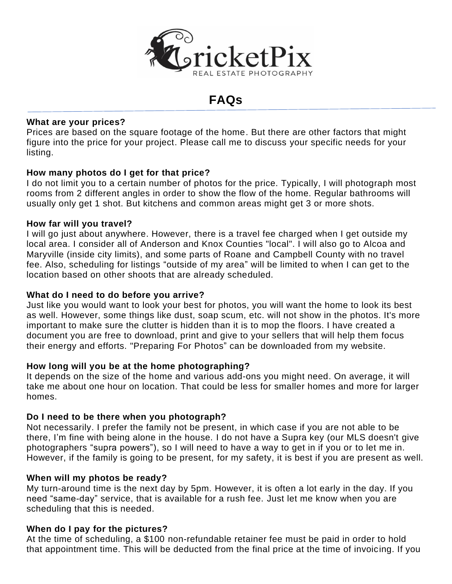

# **FAQs**

# **What are your prices?**

Prices are based on the square footage of the home. But there are other factors that might figure into the price for your project. Please call me to discuss your specific needs for your listing.

# **How many photos do I get for that price?**

I do not limit you to a certain number of photos for the price. Typically, I will photograph most rooms from 2 different angles in order to show the flow of the home. Regular bathrooms will usually only get 1 shot. But kitchens and common areas might get 3 or more shots.

#### **How far will you travel?**

I will go just about anywhere. However, there is a travel fee charged when I get outside my local area. I consider all of Anderson and Knox Counties "local". I will also go to Alcoa and Maryville (inside city limits), and some parts of Roane and Campbell County with no travel fee. Also, scheduling for listings "outside of my area" will be limited to when I can get to the location based on other shoots that are already scheduled.

#### **What do I need to do before you arrive?**

Just like you would want to look your best for photos, you will want the home to look its best as well. However, some things like dust, soap scum, etc. will not show in the photos. It's more important to make sure the clutter is hidden than it is to mop the floors. I have created a document you are free to download, print and give to your sellers that will help them focus their energy and efforts. "Preparing For Photos" can be downloaded from my website.

#### **How long will you be at the home photographing?**

It depends on the size of the home and various add-ons you might need. On average, it will take me about one hour on location. That could be less for smaller homes and more for larger homes.

#### **Do I need to be there when you photograph?**

Not necessarily. I prefer the family not be present, in which case if you are not able to be there, I'm fine with being alone in the house. I do not have a Supra key (our MLS doesn't give photographers "supra powers"), so I will need to have a way to get in if you or to let me in. However, if the family is going to be present, for my safety, it is best if you are present as well.

#### **When will my photos be ready?**

My turn-around time is the next day by 5pm. However, it is often a lot early in the day. If you need "same-day" service, that is available for a rush fee. Just let me know when you are scheduling that this is needed.

#### **When do I pay for the pictures?**

At the time of scheduling, a \$100 non-refundable retainer fee must be paid in order to hold that appointment time. This will be deducted from the final price at the time of invoicing. If you